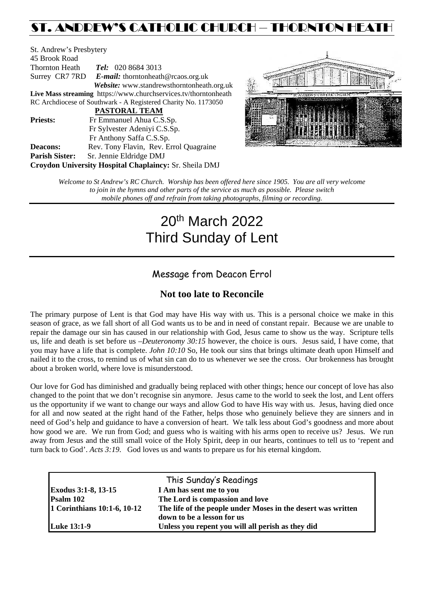## ST. ANDREW'S CATHOLIC CHURCH – THORNTON HEATH

St. Andrew's Presbytery 45 Brook Road Thornton Heath *Tel:* 020 8684 3013 Surrey CR7 7RD *E-mail:* [thorntonheath@rcaos.org.uk](mailto:thorntonheath@rcaos.org.uk) *Website:* www.standrewsthorntonheath.org.uk **Live Mass streaming** <https://www.churchservices.tv/thorntonheath> RC Archdiocese of Southwark - A Registered Charity No. 1173050  **PASTORAL TEAM Priests:** Fr Emmanuel Ahua C.S.Sp. Fr Sylvester Adeniyi C.S.Sp. Fr Anthony Saffa C.S.Sp. **Deacons:** Rev. Tony Flavin, Rev. Errol Quagraine **Parish Sister:** Sr. Jennie Eldridge DMJ **Croydon University Hospital Chaplaincy:** Sr. Sheila DMJ



*Welcome to St Andrew's RC Church. Worship has been offered here since 1905. You are all very welcome to join in the hymns and other parts of the service as much as possible. Please switch mobile phones off and refrain from taking photographs, filming or recording.*

# 20th March 2022 Third Sunday of Lent

## Message from Deacon Errol

## **Not too late to Reconcile**

The primary purpose of Lent is that God may have His way with us. This is a personal choice we make in this season of grace, as we fall short of all God wants us to be and in need of constant repair. Because we are unable to repair the damage our sin has caused in our relationship with God, Jesus came to show us the way. Scripture tells us, life and death is set before us –*Deuteronomy 30:15* however, the choice is ours. Jesus said, I have come, that you may have a life that is complete. *John 10:10* So, He took our sins that brings ultimate death upon Himself and nailed it to the cross, to remind us of what sin can do to us whenever we see the cross. Our brokenness has brought about a broken world, where love is misunderstood.

Our love for God has diminished and gradually being replaced with other things; hence our concept of love has also changed to the point that we don't recognise sin anymore. Jesus came to the world to seek the lost, and Lent offers us the opportunity if we want to change our ways and allow God to have His way with us. Jesus, having died once for all and now seated at the right hand of the Father, helps those who genuinely believe they are sinners and in need of God's help and guidance to have a conversion of heart. We talk less about God's goodness and more about how good we are. We run from God; and guess who is waiting with his arms open to receive us? Jesus. We run away from Jesus and the still small voice of the Holy Spirit, deep in our hearts, continues to tell us to 'repent and turn back to God'. *Acts 3:19.* God loves us and wants to prepare us for his eternal kingdom.

|                             | This Sunday's Readings                                       |  |  |
|-----------------------------|--------------------------------------------------------------|--|--|
| Exodus 3:1-8, 13-15         | I Am has sent me to you                                      |  |  |
| Psalm 102                   | The Lord is compassion and love                              |  |  |
| 1 Corinthians 10:1-6, 10-12 | The life of the people under Moses in the desert was written |  |  |
|                             | down to be a lesson for us                                   |  |  |
| <b>Luke 13:1-9</b>          | Unless you repent you will all perish as they did            |  |  |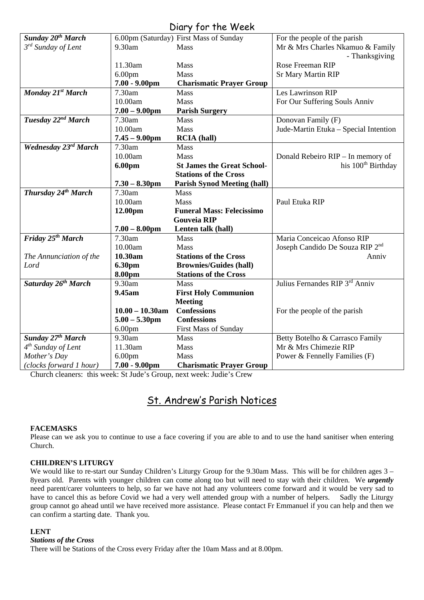| UIUI Y JUI THE WEEN             |                    |                                        |                                             |  |
|---------------------------------|--------------------|----------------------------------------|---------------------------------------------|--|
| Sunday 20 <sup>th</sup> March   |                    | 6.00pm (Saturday) First Mass of Sunday | For the people of the parish                |  |
| $3^{rd}$ Sunday of Lent         | 9.30am             | Mass                                   | Mr & Mrs Charles Nkamuo & Family            |  |
|                                 |                    |                                        | - Thanksgiving                              |  |
|                                 | 11.30am            | Mass                                   | Rose Freeman RIP                            |  |
|                                 | 6.00 <sub>pm</sub> | Mass                                   | <b>Sr Mary Martin RIP</b>                   |  |
|                                 | $7.00 - 9.00$ pm   | <b>Charismatic Prayer Group</b>        |                                             |  |
| Monday 21st March               | 7.30am             | <b>Mass</b>                            | Les Lawrinson RIP                           |  |
|                                 | 10.00am            | <b>Mass</b>                            | For Our Suffering Souls Anniv               |  |
|                                 | $7.00 - 9.00$ pm   | <b>Parish Surgery</b>                  |                                             |  |
| Tuesday 22 <sup>nd</sup> March  | 7.30am             | <b>Mass</b>                            | Donovan Family (F)                          |  |
|                                 | 10.00am            | <b>Mass</b>                            | Jude-Martin Etuka - Special Intention       |  |
|                                 | $7.45 - 9.00$ pm   | <b>RCIA</b> (hall)                     |                                             |  |
| <b>Wednesday 23rd March</b>     | 7.30am             | <b>Mass</b>                            |                                             |  |
|                                 | 10.00am            | Mass                                   | Donald Rebeiro RIP - In memory of           |  |
|                                 | 6.00pm             | <b>St James the Great School-</b>      | his 100 <sup>th</sup> Birthday              |  |
|                                 |                    | <b>Stations of the Cross</b>           |                                             |  |
|                                 | $7.30 - 8.30$ pm   | <b>Parish Synod Meeting (hall)</b>     |                                             |  |
| Thursday 24th March             | 7.30am             | <b>Mass</b>                            |                                             |  |
|                                 | 10.00am            | Mass                                   | Paul Etuka RIP                              |  |
|                                 | 12.00pm            | <b>Funeral Mass: Felecissimo</b>       |                                             |  |
|                                 |                    | <b>Gouveia RIP</b>                     |                                             |  |
|                                 | $7.00 - 8.00$ pm   | Lenten talk (hall)                     |                                             |  |
| Friday 25 <sup>th</sup> March   | 7.30am             | <b>Mass</b>                            | Maria Conceicao Afonso RIP                  |  |
|                                 | 10.00am            | <b>Mass</b>                            | Joseph Candido De Souza RIP 2 <sup>nd</sup> |  |
| The Annunciation of the         | 10.30am            | <b>Stations of the Cross</b>           | Anniv                                       |  |
| Lord                            | 6.30pm             | <b>Brownies/Guides (hall)</b>          |                                             |  |
|                                 | 8.00pm             | <b>Stations of the Cross</b>           |                                             |  |
| Saturday 26 <sup>th</sup> March | 9.30am             | Mass                                   | Julius Fernandes RIP 3rd Anniv              |  |
|                                 | 9.45am             | <b>First Holy Communion</b>            |                                             |  |
|                                 |                    | <b>Meeting</b>                         |                                             |  |
|                                 | $10.00 - 10.30$ am | <b>Confessions</b>                     | For the people of the parish                |  |
|                                 | $5.00 - 5.30$ pm   | <b>Confessions</b>                     |                                             |  |
|                                 | 6.00 <sub>pm</sub> | First Mass of Sunday                   |                                             |  |
| Sunday 27th March               | 9.30am             | Mass                                   | Betty Botelho & Carrasco Family             |  |
| 4 <sup>th</sup> Sunday of Lent  | 11.30am            | Mass                                   | Mr & Mrs Chimezie RIP                       |  |
| Mother's Day                    | 6.00 <sub>pm</sub> | Mass                                   | Power & Fennelly Families (F)               |  |
| (clocks forward 1 hour)         | $7.00 - 9.00$ pm   | <b>Charismatic Prayer Group</b>        |                                             |  |

### Diary for the Week

Church cleaners: this week: St Jude's Group, next week: Judie's Crew

## St. Andrew's Parish Notices

#### **FACEMASKS**

Please can we ask you to continue to use a face covering if you are able to and to use the hand sanitiser when entering Church.

#### **CHILDREN'S LITURGY**

We would like to re-start our Sunday Children's Liturgy Group for the 9.30am Mass. This will be for children ages 3 – 8years old. Parents with younger children can come along too but will need to stay with their children. We *urgently* need parent/carer volunteers to help, so far we have not had any volunteers come forward and it would be very sad to have to cancel this as before Covid we had a very well attended group with a number of helpers. Sadly the have to cancel this as before Covid we had a very well attended group with a number of helpers. group cannot go ahead until we have received more assistance. Please contact Fr Emmanuel if you can help and then we can confirm a starting date. Thank you.

#### **LENT**

#### *Stations of the Cross*

There will be Stations of the Cross every Friday after the 10am Mass and at 8.00pm.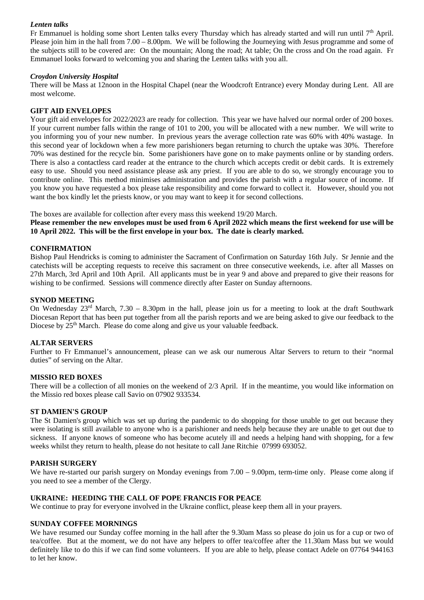#### *Lenten talks*

Fr Emmanuel is holding some short Lenten talks every Thursday which has already started and will run until  $7<sup>th</sup>$  April. Please join him in the hall from 7.00 – 8.00pm. We will be following the Journeying with Jesus programme and some of the subjects still to be covered are: On the mountain; Along the road; At table; On the cross and On the road again. Fr Emmanuel looks forward to welcoming you and sharing the Lenten talks with you all.

#### *Croydon University Hospital*

There will be Mass at 12noon in the Hospital Chapel (near the Woodcroft Entrance) every Monday during Lent. All are most welcome.

#### **GIFT AID ENVELOPES**

Your gift aid envelopes for 2022/2023 are ready for collection. This year we have halved our normal order of 200 boxes. If your current number falls within the range of 101 to 200, you will be allocated with a new number. We will write to you informing you of your new number. In previous years the average collection rate was 60% with 40% wastage. In this second year of lockdown when a few more parishioners began returning to church the uptake was 30%. Therefore 70% was destined for the recycle bin. Some parishioners have gone on to make payments online or by standing orders. There is also a contactless card reader at the entrance to the church which accepts credit or debit cards. It is extremely easy to use. Should you need assistance please ask any priest. If you are able to do so, we strongly encourage you to contribute online. This method minimises administration and provides the parish with a regular source of income. If you know you have requested a box please take responsibility and come forward to collect it. However, should you not want the box kindly let the priests know, or you may want to keep it for second collections.

The boxes are available for collection after every mass this weekend 19/20 March.

**Please remember the new envelopes must be used from 6 April 2022 which means the first weekend for use will be 10 April 2022. This will be the first envelope in your box. The date is clearly marked.**

#### **CONFIRMATION**

Bishop Paul Hendricks is coming to administer the Sacrament of Confirmation on Saturday 16th July. Sr Jennie and the catechists will be accepting requests to receive this sacrament on three consecutive weekends, i.e. after all Masses on 27th March, 3rd April and 10th April. All applicants must be in year 9 and above and prepared to give their reasons for wishing to be confirmed. Sessions will commence directly after Easter on Sunday afternoons.

#### **SYNOD MEETING**

On Wednesday  $23<sup>rd</sup>$  March,  $7.30 - 8.30$ pm in the hall, please join us for a meeting to look at the draft Southwark Diocesan Report that has been put together from all the parish reports and we are being asked to give our feedback to the Diocese by 25<sup>th</sup> March. Please do come along and give us your valuable feedback.

#### **ALTAR SERVERS**

Further to Fr Emmanuel's announcement, please can we ask our numerous Altar Servers to return to their "normal duties" of serving on the Altar.

#### **MISSIO RED BOXES**

There will be a collection of all monies on the weekend of 2/3 April. If in the meantime, you would like information on the Missio red boxes please call Savio on 07902 933534.

#### **ST DAMIEN'S GROUP**

The St Damien's group which was set up during the pandemic to do shopping for those unable to get out because they were isolating is still available to anyone who is a parishioner and needs help because they are unable to get out due to sickness. If anyone knows of someone who has become acutely ill and needs a helping hand with shopping, for a few weeks whilst they return to health, please do not hesitate to call Jane Ritchie 07999 693052.

#### **PARISH SURGERY**

We have re-started our parish surgery on Monday evenings from 7.00 – 9.00pm, term-time only. Please come along if you need to see a member of the Clergy.

#### **UKRAINE: HEEDING THE CALL OF POPE FRANCIS FOR PEACE**

We continue to pray for everyone involved in the Ukraine conflict, please keep them all in your prayers.

#### **SUNDAY COFFEE MORNINGS**

We have resumed our Sunday coffee morning in the hall after the 9.30am Mass so please do join us for a cup or two of tea/coffee. But at the moment, we do not have any helpers to offer tea/coffee after the 11.30am Mass but we would definitely like to do this if we can find some volunteers. If you are able to help, please contact Adele on 07764 944163 to let her know.